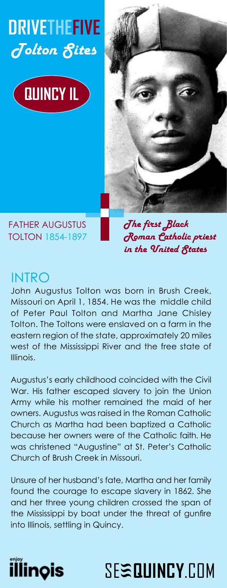# **DRIVETHEFIVE**  Tolton Sites





FATHER AUGUSTUS TOLTON 1854-1897 The first Black Roman Catholic priest in the United States

### INTRO

John Augustus Tolton was born in Brush Creek, Missouri on April 1, 1854. He was the middle child of Peter Paul Tolton and Martha Jane Chisley Tolton. The Toltons were enslaved on a farm in the eastern region of the state, approximately 20 miles west of the Mississippi River and the free state of Illinois.

Augustus's early childhood coincided with the Civil War. His father escaped slavery to join the Union Army while his mother remained the maid of her owners. Augustus was raised in the Roman Catholic Church as Martha had been baptized a Catholic because her owners were of the Catholic faith. He was christened "Augustine" at St. Peter's Catholic Church of Brush Creek in Missouri.

Unsure of her husband's fate, Martha and her family found the courage to escape slavery in 1862. She and her three young children crossed the span of the Mississippi by boat under the threat of gunfire into Illinois, settling in Quincy.



# 6( **a<sup>a</sup>48,1&<**&20 **<sup>a</sup>**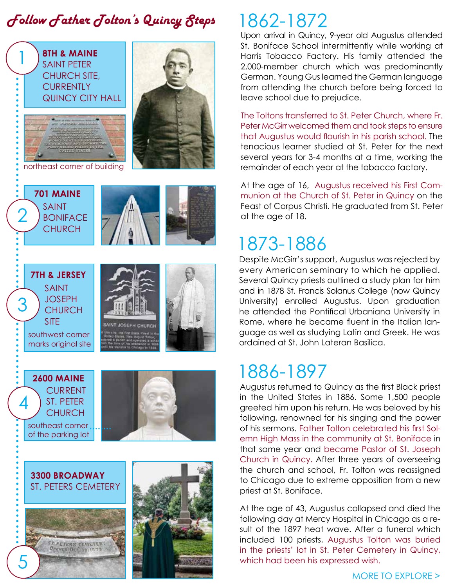## $\bm{f}$ ollow  $\bm{f}$ ather  $\bm{f}$ olton's Quincy  $\bm{\mathcal{S}}$ teps 1862-1872



Upon arrival in Quincy, 9-year old Augustus attended St. Boniface School intermittently while working at Harris Tobacco Factory. His family attended the 2,000-member church which was predominantly German. Young Gus learned the German language from attending the church before being forced to leave school due to prejudice.

The Toltons transferred to St. Peter Church, where Fr. Peter McGirr welcomed them and took steps to ensure that Augustus would flourish in his parish school. The tenacious learner studied at St. Peter for the next several years for 3-4 months at a time, working the remainder of each year at the tobacco factory.

At the age of 16, Augustus received his First Communion at the Church of St. Peter in Quincy on the Feast of Corpus Christi. He graduated from St. Peter at the age of 18.

# 1873-1886

Despite McGirr's support, Augustus was rejected by every American seminary to which he applied. Several Quincy priests outlined a study plan for him and in 1878 St. Francis Solanus College (now Quincy University) enrolled Augustus. Upon graduation he attended the Pontifical Urbaniana University in Rome, where he became fluent in the Italian language as well as studying Latin and Greek. He was ordained at St. John Lateran Basilica.

# 1886-1897

Augustus returned to Quincy as the first Black priest in the United States in 1886. Some 1,500 people greeted him upon his return. He was beloved by his following, renowned for his singing and the power of his sermons. Father Tolton celebrated his first Solemn High Mass in the community at St. Boniface in that same year and became Pastor of St. Joseph Church in Quincy. After three years of overseeing the church and school, Fr. Tolton was reassigned to Chicago due to extreme opposition from a new priest at St. Boniface.

At the age of 43, Augustus collapsed and died the following day at Mercy Hospital in Chicago as a result of the 1897 heat wave. After a funeral which included 100 priests, Augustus Tolton was buried in the priests' lot in St. Peter Cemetery in Quincy, which had been his expressed wish.

#### MORE TO EXPLORE >